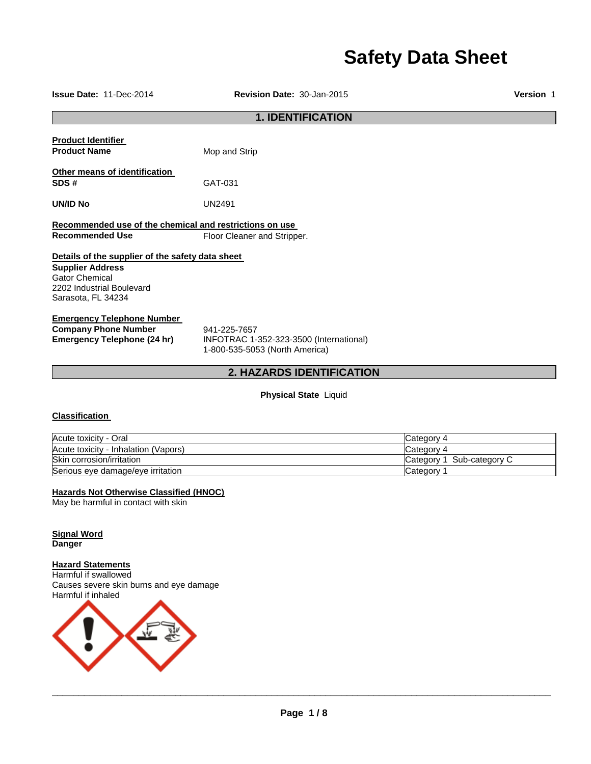# **Safety Data Sheet**

**Issue Date:** 11-Dec-2014 **Revision Date:** 30-Jan-2015 **Version** 1

# **1. IDENTIFICATION**

**Product Identifier Product Name** Mop and Strip **Other means of identification** 

**SDS #** GAT-031

**UN/ID No** UN2491

**Recommended use of the chemical and restrictions on use Recommended Use Floor Cleaner and Stripper.** 

# **Details of the supplier of the safety data sheet**

**Supplier Address** Gator Chemical 2202 Industrial Boulevard Sarasota, FL 34234

# **Emergency Telephone Number**

**Company Phone Number** 941-225-7657<br> **Emergency Telephone (24 hr)** INFOTRAC 1-

**Emergency Telephone (24 hr)** INFOTRAC 1-352-323-3500 (International) 1-800-535-5053 (North America)

# **2. HAZARDS IDENTIFICATION**

**Physical State** Liquid

# **Classification**

| Acute toxicity - Oral                | Category 4                |
|--------------------------------------|---------------------------|
| Acute toxicity - Inhalation (Vapors) | Category 4                |
| Skin corrosion/irritation            | Category 1 Sub-category C |
| Serious eye damage/eye irritation    | Category                  |

# **Hazards Not Otherwise Classified (HNOC)**

May be harmful in contact with skin

**Signal Word Danger** 

# **Hazard Statements**

Harmful if swallowed Causes severe skin burns and eye damage Harmful if inhaled

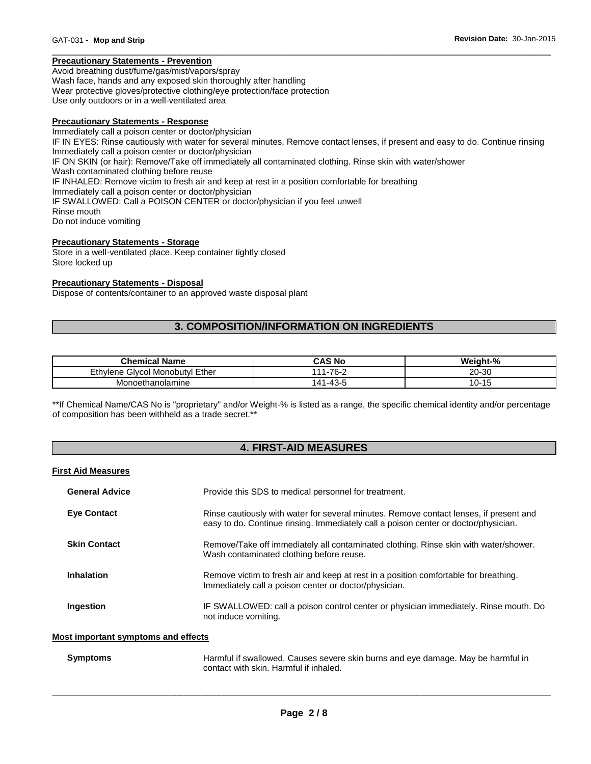# **Precautionary Statements - Prevention**

Avoid breathing dust/fume/gas/mist/vapors/spray Wash face, hands and any exposed skin thoroughly after handling Wear protective gloves/protective clothing/eye protection/face protection Use only outdoors or in a well-ventilated area

### **Precautionary Statements - Response**

Immediately call a poison center or doctor/physician IF IN EYES: Rinse cautiously with water for several minutes. Remove contact lenses, if present and easy to do. Continue rinsing Immediately call a poison center or doctor/physician IF ON SKIN (or hair): Remove/Take off immediately all contaminated clothing. Rinse skin with water/shower Wash contaminated clothing before reuse IF INHALED: Remove victim to fresh air and keep at rest in a position comfortable for breathing Immediately call a poison center or doctor/physician IF SWALLOWED: Call a POISON CENTER or doctor/physician if you feel unwell Rinse mouth Do not induce vomiting

\_\_\_\_\_\_\_\_\_\_\_\_\_\_\_\_\_\_\_\_\_\_\_\_\_\_\_\_\_\_\_\_\_\_\_\_\_\_\_\_\_\_\_\_\_\_\_\_\_\_\_\_\_\_\_\_\_\_\_\_\_\_\_\_\_\_\_\_\_\_\_\_\_\_\_\_\_\_\_\_\_\_\_\_\_\_\_\_\_\_\_\_\_

# **Precautionary Statements - Storage**

Store in a well-ventilated place. Keep container tightly closed Store locked up

### **Precautionary Statements - Disposal**

Dispose of contents/container to an approved waste disposal plant

# **3. COMPOSITION/INFORMATION ON INGREDIENTS**

| <b>Chemical Name</b>                          | <b>CAS No</b>  | Weight-%     |
|-----------------------------------------------|----------------|--------------|
| Ethvlene (<br><b>B</b> Givcol Monobutvi Ether | 111-76-2       | 20-30        |
| Monoethanolamine                              | 1-43-5<br>41٠، | $10 -$<br>ำเ |

\*\*If Chemical Name/CAS No is "proprietary" and/or Weight-% is listed as a range, the specific chemical identity and/or percentage of composition has been withheld as a trade secret.\*\*

# **4. FIRST-AID MEASURES**

#### **First Aid Measures**

| <b>General Advice</b> | Provide this SDS to medical personnel for treatment.                                                                                                                          |
|-----------------------|-------------------------------------------------------------------------------------------------------------------------------------------------------------------------------|
| <b>Eve Contact</b>    | Rinse cautiously with water for several minutes. Remove contact lenses, if present and<br>easy to do. Continue rinsing. Immediately call a poison center or doctor/physician. |
| <b>Skin Contact</b>   | Remove/Take off immediately all contaminated clothing. Rinse skin with water/shower.<br>Wash contaminated clothing before reuse.                                              |
| <b>Inhalation</b>     | Remove victim to fresh air and keep at rest in a position comfortable for breathing.<br>Immediately call a poison center or doctor/physician.                                 |
| Ingestion             | IF SWALLOWED: call a poison control center or physician immediately. Rinse mouth. Do<br>not induce vomiting.                                                                  |

# **Most important symptoms and effects**

| <b>Symptoms</b> | Harmful if swallowed. Causes severe skin burns and eye damage. May be harmful in |
|-----------------|----------------------------------------------------------------------------------|
|                 | contact with skin. Harmful if inhaled.                                           |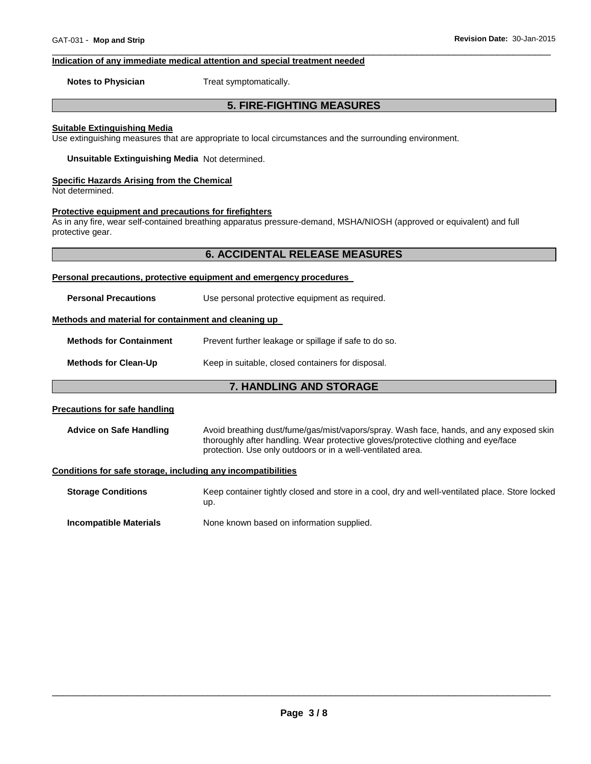#### **Indication of any immediate medical attention and special treatment needed**

**Notes to Physician**  Treat symptomatically.

# **5. FIRE-FIGHTING MEASURES**

\_\_\_\_\_\_\_\_\_\_\_\_\_\_\_\_\_\_\_\_\_\_\_\_\_\_\_\_\_\_\_\_\_\_\_\_\_\_\_\_\_\_\_\_\_\_\_\_\_\_\_\_\_\_\_\_\_\_\_\_\_\_\_\_\_\_\_\_\_\_\_\_\_\_\_\_\_\_\_\_\_\_\_\_\_\_\_\_\_\_\_\_\_

#### **Suitable Extinguishing Media**

Use extinguishing measures that are appropriate to local circumstances and the surrounding environment.

**Unsuitable Extinguishing Media** Not determined.

#### **Specific Hazards Arising from the Chemical**

Not determined.

# **Protective equipment and precautions for firefighters**

As in any fire, wear self-contained breathing apparatus pressure-demand, MSHA/NIOSH (approved or equivalent) and full protective gear.

# **6. ACCIDENTAL RELEASE MEASURES**

#### **Personal precautions, protective equipment and emergency procedures**

**Personal Precautions Use personal protective equipment as required.** 

# **Methods and material for containment and cleaning up**

**Methods for Containment** Prevent further leakage or spillage if safe to do so.

**Methods for Clean-Up Keep in suitable, closed containers for disposal.** 

# **7. HANDLING AND STORAGE**

#### **Precautions for safe handling**

**Advice on Safe Handling** Avoid breathing dust/fume/gas/mist/vapors/spray. Wash face, hands, and any exposed skin thoroughly after handling. Wear protective gloves/protective clothing and eye/face protection. Use only outdoors or in a well-ventilated area.

#### **Conditions for safe storage, including any incompatibilities**

**Storage Conditions** Keep container tightly closed and store in a cool, dry and well-ventilated place. Store locked up. **Incompatible Materials None known based on information supplied.**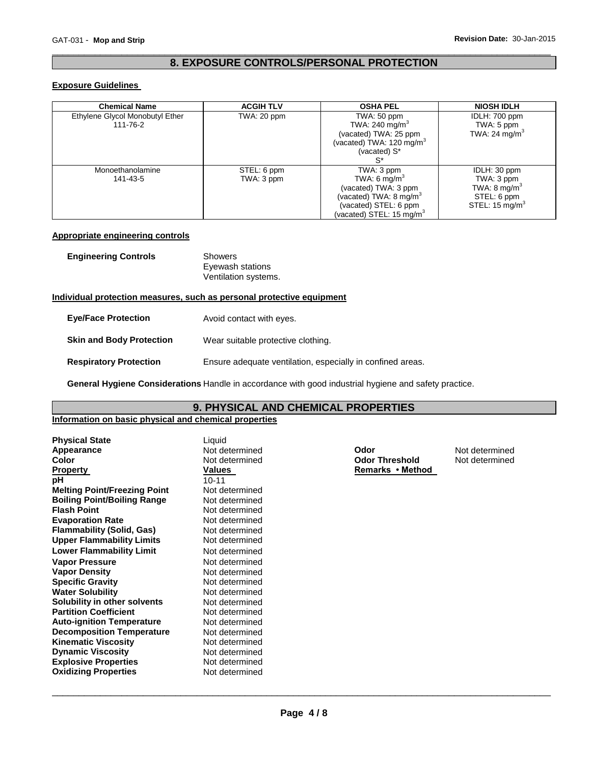# \_\_\_\_\_\_\_\_\_\_\_\_\_\_\_\_\_\_\_\_\_\_\_\_\_\_\_\_\_\_\_\_\_\_\_\_\_\_\_\_\_\_\_\_\_\_\_\_\_\_\_\_\_\_\_\_\_\_\_\_\_\_\_\_\_\_\_\_\_\_\_\_\_\_\_\_\_\_\_\_\_\_\_\_\_\_\_\_\_\_\_\_\_ **8. EXPOSURE CONTROLS/PERSONAL PROTECTION**

# **Exposure Guidelines**

| <b>Chemical Name</b>                        | <b>ACGIH TLV</b>          | <b>OSHA PEL</b>                                                                                                                                     | <b>NIOSH IDLH</b>                                                                                 |
|---------------------------------------------|---------------------------|-----------------------------------------------------------------------------------------------------------------------------------------------------|---------------------------------------------------------------------------------------------------|
| Ethylene Glycol Monobutyl Ether<br>111-76-2 | TWA: 20 ppm               | TWA: 50 ppm<br>TWA: 240 mg/m <sup>3</sup><br>(vacated) TWA: 25 ppm<br>(vacated) TWA: 120 mg/m <sup>3</sup><br>(vacated) S*<br>`S*                   | IDLH: 700 ppm<br>TWA: 5 ppm<br>TWA: 24 $mg/m3$                                                    |
| Monoethanolamine<br>141-43-5                | STEL: 6 ppm<br>TWA: 3 ppm | TWA: 3 ppm<br>TWA: 6 mg/m <sup>3</sup><br>(vacated) TWA: 3 ppm<br>(vacated) TWA: 8 mg/m $3$<br>(vacated) STEL: 6 ppm<br>(vacated) STEL: 15 mg/m $3$ | IDLH: 30 ppm<br>TWA: 3 ppm<br>TWA: $8 \text{ mg/m}^3$<br>STEL: 6 ppm<br>STEL: $15 \text{ mg/m}^3$ |

# **Appropriate engineering controls**

| <b>Engineering Controls</b> | Showers<br>Eyewash stations<br>Ventilation systems. |
|-----------------------------|-----------------------------------------------------|
|                             |                                                     |

# **Individual protection measures, such as personal protective equipment**

| <b>Eye/Face Protection</b>      | Avoid contact with eyes.                                   |
|---------------------------------|------------------------------------------------------------|
| <b>Skin and Body Protection</b> | Wear suitable protective clothing.                         |
| <b>Respiratory Protection</b>   | Ensure adequate ventilation, especially in confined areas. |

**General Hygiene Considerations** Handle in accordance with good industrial hygiene and safety practice.

# **9. PHYSICAL AND CHEMICAL PROPERTIES**

# **Information on basic physical and chemical properties**

| <b>Physical State</b>               | Liquid         |                       |                |
|-------------------------------------|----------------|-----------------------|----------------|
| Appearance                          | Not determined | Odor                  | Not determined |
| Color                               | Not determined | <b>Odor Threshold</b> | Not determined |
| <b>Property</b>                     | Values         | Remarks • Method      |                |
| рH                                  | $10 - 11$      |                       |                |
| <b>Melting Point/Freezing Point</b> | Not determined |                       |                |
| <b>Boiling Point/Boiling Range</b>  | Not determined |                       |                |
| <b>Flash Point</b>                  | Not determined |                       |                |
| <b>Evaporation Rate</b>             | Not determined |                       |                |
| Flammability (Solid, Gas)           | Not determined |                       |                |
| <b>Upper Flammability Limits</b>    | Not determined |                       |                |
| <b>Lower Flammability Limit</b>     | Not determined |                       |                |
| <b>Vapor Pressure</b>               | Not determined |                       |                |
| <b>Vapor Density</b>                | Not determined |                       |                |
| <b>Specific Gravity</b>             | Not determined |                       |                |
| <b>Water Solubility</b>             | Not determined |                       |                |
| Solubility in other solvents        | Not determined |                       |                |
| <b>Partition Coefficient</b>        | Not determined |                       |                |
| <b>Auto-ignition Temperature</b>    | Not determined |                       |                |
| <b>Decomposition Temperature</b>    | Not determined |                       |                |
| <b>Kinematic Viscosity</b>          | Not determined |                       |                |
| <b>Dynamic Viscosity</b>            | Not determined |                       |                |
| <b>Explosive Properties</b>         | Not determined |                       |                |
| <b>Oxidizing Properties</b>         | Not determined |                       |                |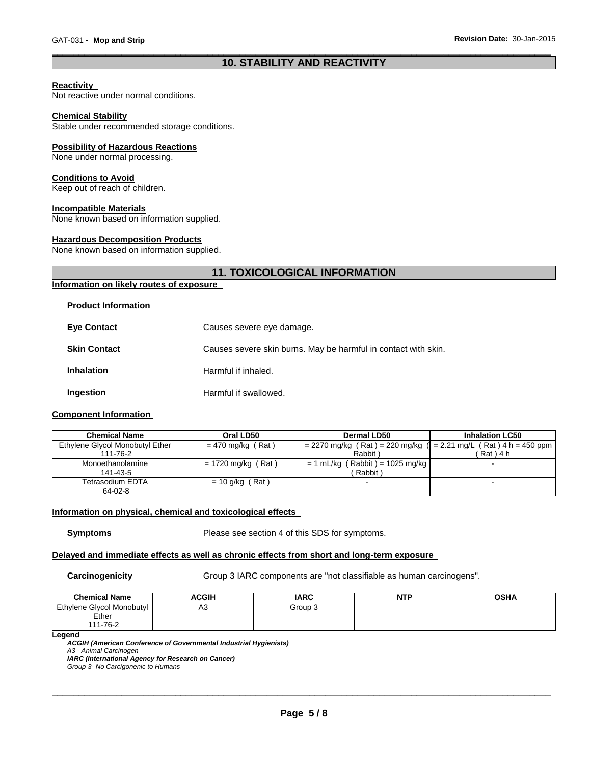# \_\_\_\_\_\_\_\_\_\_\_\_\_\_\_\_\_\_\_\_\_\_\_\_\_\_\_\_\_\_\_\_\_\_\_\_\_\_\_\_\_\_\_\_\_\_\_\_\_\_\_\_\_\_\_\_\_\_\_\_\_\_\_\_\_\_\_\_\_\_\_\_\_\_\_\_\_\_\_\_\_\_\_\_\_\_\_\_\_\_\_\_\_ **10. STABILITY AND REACTIVITY**

# **Reactivity**

Not reactive under normal conditions.

#### **Chemical Stability**

Stable under recommended storage conditions.

#### **Possibility of Hazardous Reactions**

None under normal processing.

### **Conditions to Avoid**

Keep out of reach of children.

#### **Incompatible Materials**

None known based on information supplied.

# **Hazardous Decomposition Products**

None known based on information supplied.

# **11. TOXICOLOGICAL INFORMATION**

# **Information on likely routes of exposure**

### **Product Information**

| <b>Eye Contact</b>  | Causes severe eye damage.                                      |
|---------------------|----------------------------------------------------------------|
| <b>Skin Contact</b> | Causes severe skin burns. May be harmful in contact with skin. |
| <b>Inhalation</b>   | Harmful if inhaled.                                            |
| Ingestion           | Harmful if swallowed.                                          |

# **Component Information**

| <b>Chemical Name</b>            | Oral LD50            | Dermal LD50                                                          | <b>Inhalation LC50</b> |
|---------------------------------|----------------------|----------------------------------------------------------------------|------------------------|
| Ethylene Glycol Monobutyl Ether | $= 470$ mg/kg (Rat)  | $= 2270$ mg/kg (Rat) = 220 mg/kg ( $= 2.21$ mg/L (Rat) 4 h = 450 ppm |                        |
| 111-76-2                        |                      | Rabbit)                                                              | Rat ) 4 h              |
| Monoethanolamine                | $= 1720$ mg/kg (Rat) | $= 1$ mL/kg (Rabbit) = 1025 mg/kg                                    |                        |
| 141-43-5                        |                      | Rabbit)                                                              |                        |
| Tetrasodium EDTA                | $= 10$ g/kg (Rat)    |                                                                      |                        |
| 64-02-8                         |                      |                                                                      |                        |

# **Information on physical, chemical and toxicological effects**

**Symptoms** Please see section 4 of this SDS for symptoms.

# **Delayed and immediate effects as well as chronic effects from short and long-term exposure**

**Carcinogenicity Group 3 IARC components are "not classifiable as human carcinogens".** 

| <b>Chemical Name</b>      | ACGIH | <b>IARC</b> | <b>NTP</b> | <b>OSHA</b> |
|---------------------------|-------|-------------|------------|-------------|
| Ethylene Glycol Monobutyl | A3    | Group 3     |            |             |
| Ether                     |       |             |            |             |
| 111-76-2                  |       |             |            |             |

**Legend** 

*ACGIH (American Conference of Governmental Industrial Hygienists) A3 - Animal Carcinogen IARC (International Agency for Research on Cancer) Group 3- No Carcigonenic to Humans*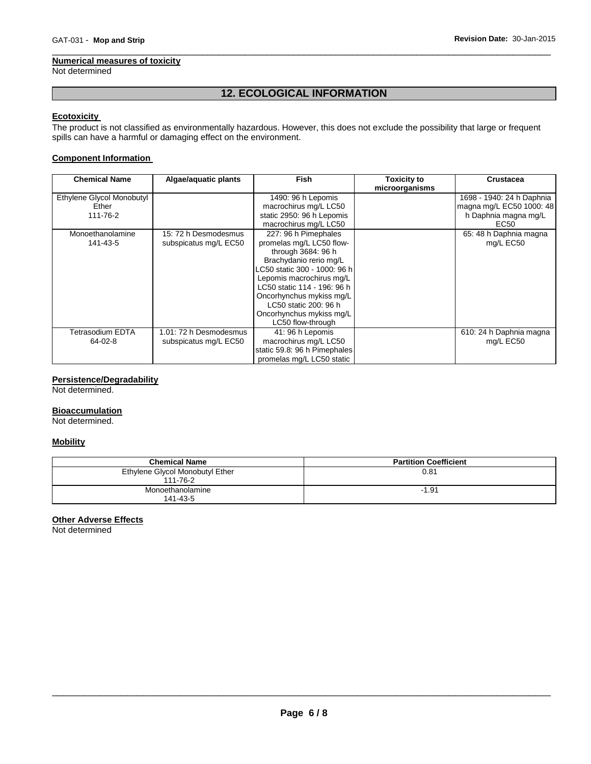### **Numerical measures of toxicity**

Not determined

# **12. ECOLOGICAL INFORMATION**

\_\_\_\_\_\_\_\_\_\_\_\_\_\_\_\_\_\_\_\_\_\_\_\_\_\_\_\_\_\_\_\_\_\_\_\_\_\_\_\_\_\_\_\_\_\_\_\_\_\_\_\_\_\_\_\_\_\_\_\_\_\_\_\_\_\_\_\_\_\_\_\_\_\_\_\_\_\_\_\_\_\_\_\_\_\_\_\_\_\_\_\_\_

# **Ecotoxicity**

The product is not classified as environmentally hazardous. However, this does not exclude the possibility that large or frequent spills can have a harmful or damaging effect on the environment.

# **Component Information**

| <b>Chemical Name</b>      | Algae/aquatic plants   | <b>Fish</b>                  | <b>Toxicity to</b><br>microorganisms | Crustacea                 |
|---------------------------|------------------------|------------------------------|--------------------------------------|---------------------------|
| Ethylene Glycol Monobutyl |                        | 1490: 96 h Lepomis           |                                      | 1698 - 1940: 24 h Daphnia |
| Ether                     |                        | macrochirus mg/L LC50        |                                      | magna mg/L EC50 1000: 48  |
| 111-76-2                  |                        | static 2950: 96 h Lepomis    |                                      | h Daphnia magna mg/L      |
|                           |                        | macrochirus mg/L LC50        |                                      | EC50                      |
| Monoethanolamine          | 15: 72 h Desmodesmus   | 227: 96 h Pimephales         |                                      | 65: 48 h Daphnia magna    |
| 141-43-5                  | subspicatus mg/L EC50  | promelas mg/L LC50 flow-     |                                      | mg/L EC50                 |
|                           |                        | through 3684: 96 h           |                                      |                           |
|                           |                        | Brachydanio rerio mg/L       |                                      |                           |
|                           |                        | LC50 static 300 - 1000: 96 h |                                      |                           |
|                           |                        | Lepomis macrochirus mg/L     |                                      |                           |
|                           |                        | LC50 static 114 - 196: 96 h  |                                      |                           |
|                           |                        | Oncorhynchus mykiss mg/L     |                                      |                           |
|                           |                        | LC50 static 200: 96 h        |                                      |                           |
|                           |                        | Oncorhynchus mykiss mg/L     |                                      |                           |
|                           |                        | LC50 flow-through            |                                      |                           |
| Fetrasodium EDTA          | 1.01: 72 h Desmodesmus | 41: 96 h Lepomis             |                                      | 610: 24 h Daphnia magna   |
| 64-02-8                   | subspicatus mg/L EC50  | macrochirus mg/L LC50        |                                      | mg/L EC50                 |
|                           |                        | static 59.8: 96 h Pimephales |                                      |                           |
|                           |                        | promelas mg/L LC50 static    |                                      |                           |

# **Persistence/Degradability**

Not determined.

# **Bioaccumulation**

Not determined.

# **Mobility**

| <b>Chemical Name</b>                        | <b>Partition Coefficient</b> |
|---------------------------------------------|------------------------------|
| Ethylene Glycol Monobutyl Ether<br>111-76-2 | 0.81                         |
| Monoethanolamine<br>141-43-5                | $-1.91$                      |

# **Other Adverse Effects**

Not determined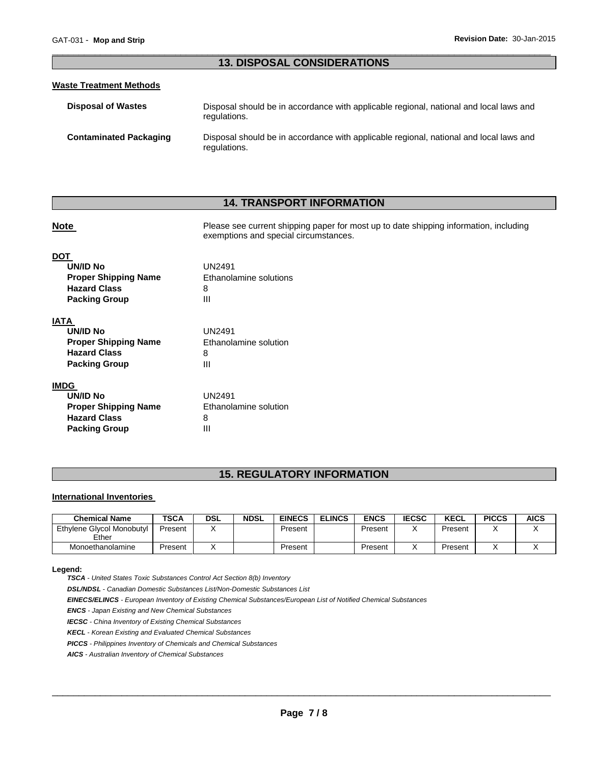# \_\_\_\_\_\_\_\_\_\_\_\_\_\_\_\_\_\_\_\_\_\_\_\_\_\_\_\_\_\_\_\_\_\_\_\_\_\_\_\_\_\_\_\_\_\_\_\_\_\_\_\_\_\_\_\_\_\_\_\_\_\_\_\_\_\_\_\_\_\_\_\_\_\_\_\_\_\_\_\_\_\_\_\_\_\_\_\_\_\_\_\_\_ **13. DISPOSAL CONSIDERATIONS**

# **Waste Treatment Methods**

| <b>Disposal of Wastes</b>     | Disposal should be in accordance with applicable regional, national and local laws and<br>regulations. |
|-------------------------------|--------------------------------------------------------------------------------------------------------|
| <b>Contaminated Packaging</b> | Disposal should be in accordance with applicable regional, national and local laws and<br>regulations. |

# **14. TRANSPORT INFORMATION**

**Note Please see current shipping paper for most up to date shipping information, including** 

# exemptions and special circumstances. **DOT UN/ID No** UN2491 **Proper Shipping Name Ethanolamine solutions Hazard Class** 8 **Packing Group 111 IATA UN/ID No** UN2491

| UN/ID NO                    | UNZ491                |
|-----------------------------|-----------------------|
| <b>Proper Shipping Name</b> | Ethanolamine solution |
| <b>Hazard Class</b>         | 8                     |
| <b>Packing Group</b>        | Ш                     |
|                             |                       |

# **IMDG**

| UN/ID No                    | UN2491                |
|-----------------------------|-----------------------|
| <b>Proper Shipping Name</b> | Ethanolamine solution |
| <b>Hazard Class</b>         | 8                     |
| <b>Packing Group</b>        | ш                     |

# **15. REGULATORY INFORMATION**

# **International Inventories**

| <b>Chemical Name</b>               | TSCA    | DSL | <b>NDSL</b> | <b>EINECS</b> | <b>ELINCS</b> | <b>ENCS</b> | <b>IECSC</b> | <b>KECL</b> | <b>PICCS</b> | <b>AICS</b> |
|------------------------------------|---------|-----|-------------|---------------|---------------|-------------|--------------|-------------|--------------|-------------|
| Ethylene Glycol Monobutyl<br>Ether | Present |     |             | Present       |               | Present     |              | Present     |              |             |
| Monoethanolamine                   | Present |     |             | Present       |               | Present     |              | Present     |              |             |

#### **Legend:**

*TSCA - United States Toxic Substances Control Act Section 8(b) Inventory* 

*DSL/NDSL - Canadian Domestic Substances List/Non-Domestic Substances List* 

*EINECS/ELINCS - European Inventory of Existing Chemical Substances/European List of Notified Chemical Substances* 

*ENCS - Japan Existing and New Chemical Substances* 

*IECSC - China Inventory of Existing Chemical Substances* 

*KECL - Korean Existing and Evaluated Chemical Substances* 

*PICCS - Philippines Inventory of Chemicals and Chemical Substances* 

*AICS - Australian Inventory of Chemical Substances*